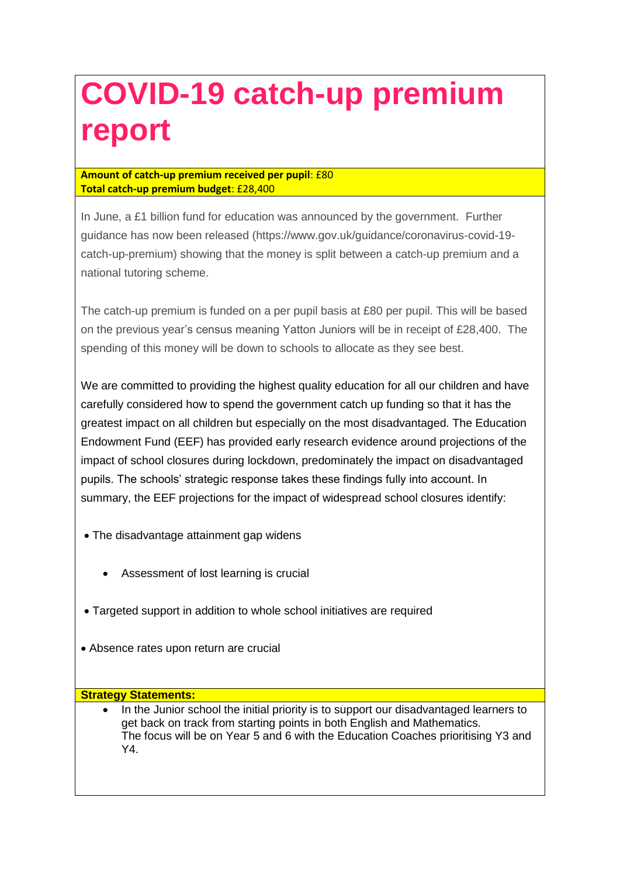# **COVID-19 catch-up premium report**

## **Amount of catch-up premium received per pupil**: £80 **Total catch-up premium budget**: £28,400

In June, a £1 billion fund for education was announced by the government. Further guidance has now been released (https://www.gov.uk/guidance/coronavirus-covid-19 catch-up-premium) showing that the money is split between a catch-up premium and a national tutoring scheme.

The catch-up premium is funded on a per pupil basis at £80 per pupil. This will be based on the previous year's census meaning Yatton Juniors will be in receipt of £28,400. The spending of this money will be down to schools to allocate as they see best.

We are committed to providing the highest quality education for all our children and have carefully considered how to spend the government catch up funding so that it has the greatest impact on all children but especially on the most disadvantaged. The Education Endowment Fund (EEF) has provided early research evidence around projections of the impact of school closures during lockdown, predominately the impact on disadvantaged pupils. The schools' strategic response takes these findings fully into account. In summary, the EEF projections for the impact of widespread school closures identify:

- The disadvantage attainment gap widens
	- Assessment of lost learning is crucial
- Targeted support in addition to whole school initiatives are required
- Absence rates upon return are crucial

## **Strategy Statements:**

 In the Junior school the initial priority is to support our disadvantaged learners to get back on track from starting points in both English and Mathematics. The focus will be on Year 5 and 6 with the Education Coaches prioritising Y3 and Y4.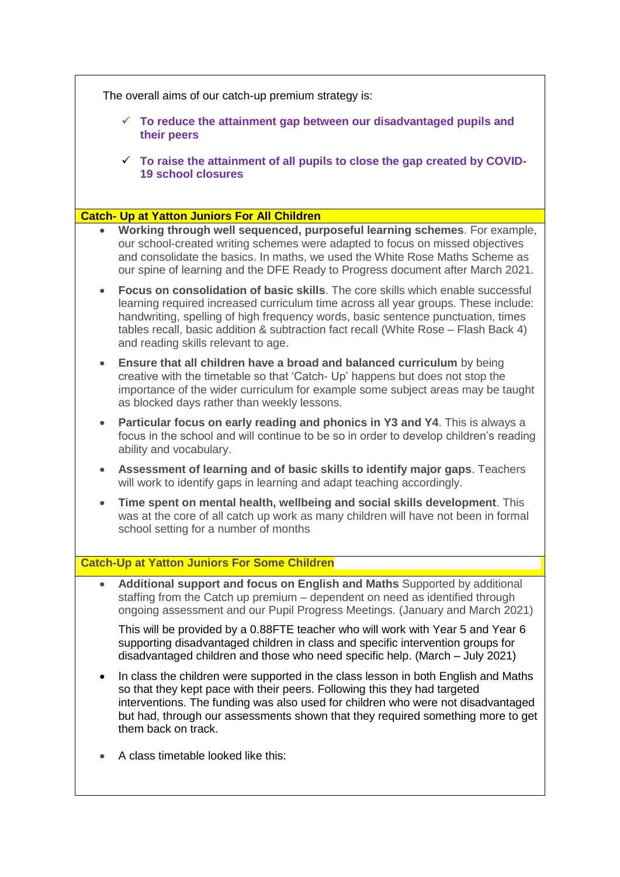| The overall aims of our catch-up premium strategy is: |                                                                                                                                                                                                                                                                                                                                                                                                |  |  |  |
|-------------------------------------------------------|------------------------------------------------------------------------------------------------------------------------------------------------------------------------------------------------------------------------------------------------------------------------------------------------------------------------------------------------------------------------------------------------|--|--|--|
|                                                       | $\checkmark$ To reduce the attainment gap between our disadvantaged pupils and<br>their peers                                                                                                                                                                                                                                                                                                  |  |  |  |
|                                                       | $\checkmark$ To raise the attainment of all pupils to close the gap created by COVID-<br><b>19 school closures</b>                                                                                                                                                                                                                                                                             |  |  |  |
|                                                       |                                                                                                                                                                                                                                                                                                                                                                                                |  |  |  |
|                                                       | <b>Catch- Up at Yatton Juniors For All Children</b><br>Working through well sequenced, purposeful learning schemes. For example,                                                                                                                                                                                                                                                               |  |  |  |
|                                                       | our school-created writing schemes were adapted to focus on missed objectives<br>and consolidate the basics. In maths, we used the White Rose Maths Scheme as<br>our spine of learning and the DFE Ready to Progress document after March 2021.                                                                                                                                                |  |  |  |
| $\bullet$                                             | <b>Focus on consolidation of basic skills.</b> The core skills which enable successful<br>learning required increased curriculum time across all year groups. These include:<br>handwriting, spelling of high frequency words, basic sentence punctuation, times<br>tables recall, basic addition & subtraction fact recall (White Rose - Flash Back 4)<br>and reading skills relevant to age. |  |  |  |
| $\bullet$                                             | Ensure that all children have a broad and balanced curriculum by being<br>creative with the timetable so that 'Catch- Up' happens but does not stop the<br>importance of the wider curriculum for example some subject areas may be taught<br>as blocked days rather than weekly lessons.                                                                                                      |  |  |  |
| $\bullet$                                             | Particular focus on early reading and phonics in Y3 and Y4. This is always a<br>focus in the school and will continue to be so in order to develop children's reading<br>ability and vocabulary.                                                                                                                                                                                               |  |  |  |
| $\bullet$                                             | Assessment of learning and of basic skills to identify major gaps. Teachers<br>will work to identify gaps in learning and adapt teaching accordingly.                                                                                                                                                                                                                                          |  |  |  |
| $\bullet$                                             | Time spent on mental health, wellbeing and social skills development. This<br>was at the core of all catch up work as many children will have not been in formal<br>school setting for a number of months                                                                                                                                                                                      |  |  |  |
|                                                       | <b>Catch-Up at Yatton Juniors For Some Children</b>                                                                                                                                                                                                                                                                                                                                            |  |  |  |
| $\bullet$                                             | Additional support and focus on English and Maths Supported by additional<br>staffing from the Catch up premium - dependent on need as identified through<br>ongoing assessment and our Pupil Progress Meetings. (January and March 2021)                                                                                                                                                      |  |  |  |
|                                                       | This will be provided by a 0.88FTE teacher who will work with Year 5 and Year 6<br>supporting disadvantaged children in class and specific intervention groups for<br>disadvantaged children and those who need specific help. (March - July 2021)                                                                                                                                             |  |  |  |
|                                                       | In class the children were supported in the class lesson in both English and Maths<br>so that they kept pace with their peers. Following this they had targeted<br>interventions. The funding was also used for children who were not disadvantaged<br>but had, through our assessments shown that they required something more to get<br>them back on track.                                  |  |  |  |
|                                                       | A class timetable looked like this:                                                                                                                                                                                                                                                                                                                                                            |  |  |  |

٦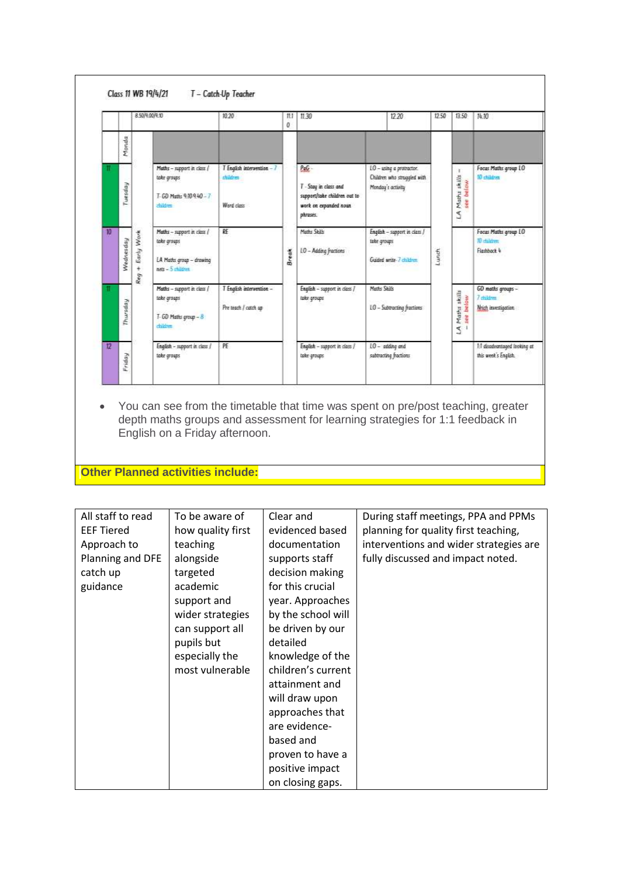#### Class 11 WB 19/4/21 T - Catch-Up Teacher

|           |           | 00/900/930                     |                                                                                              | 10 20                                                | 11.30<br>II.I<br>ō |                                                                                                    | 12.20        |                                                                              | 12.50 | 13.50                                  | 阵30                                                                 |
|-----------|-----------|--------------------------------|----------------------------------------------------------------------------------------------|------------------------------------------------------|--------------------|----------------------------------------------------------------------------------------------------|--------------|------------------------------------------------------------------------------|-------|----------------------------------------|---------------------------------------------------------------------|
|           | Monda     |                                |                                                                                              |                                                      |                    |                                                                                                    |              |                                                                              |       |                                        |                                                                     |
|           | Tuesday   |                                | Maths - support in class /<br>take groups<br>T-GD Math: 910-940-7<br>zbildren                | T English intervention - 7<br>children<br>Ward closs |                    | PeG-<br>T - Stay in class and<br>support/take children out to<br>work on expanded noun<br>phreses. |              | LO - using a protractor.<br>Children who struggled with<br>Monday's activity |       | ¥.<br>LA Maths skills -<br>- see below | Focus Maths group LO<br>17 children                                 |
| <b>VO</b> | Nednesday | Early Work<br>$\ddot{}$<br>Req | Maths - support in class /<br>take groups<br>LA Maths group - drawing<br>$nets = 5$ children | RE                                                   | <b>Break</b>       | Marks Skills<br>10 - Adding fractions                                                              | take groups  | English - support in class /<br>Guided write-7 children                      | Lunch |                                        | Focus Maths group LO<br><b>Trichidren</b><br>Flashback <sup>4</sup> |
|           | Thursday  |                                | Maths - support in class /<br>take groups<br>T-GD Maths group - 8<br>dildren.                | T English intervention -<br>Pre teach / catch ap     |                    | English - support in class /<br>take groups                                                        | Meths Shills | 10 - Subtracting fractions                                                   |       | LA Maths skills<br>- see below<br>ت    | GD maths groups -<br>7 distance<br>Nyich investigation              |
| 12        | Friday    |                                | English - support in class /<br>take groups                                                  | PE                                                   |                    | English - support in class /<br>take groups:                                                       |              | 10 - selding and<br>subtracting fractions                                    |       |                                        | 1:1 disadvantaged looking at<br>this week's English.                |

 You can see from the timetable that time was spent on pre/post teaching, greater depth maths groups and assessment for learning strategies for 1:1 feedback in English on a Friday afternoon.

**Other Planned activities include:**

| All staff to read | To be aware of    | Clear and          | During staff meetings, PPA and PPMs    |
|-------------------|-------------------|--------------------|----------------------------------------|
| <b>EEF Tiered</b> | how quality first | evidenced based    | planning for quality first teaching,   |
| Approach to       | teaching          | documentation      | interventions and wider strategies are |
| Planning and DFE  | alongside         | supports staff     | fully discussed and impact noted.      |
| catch up          | targeted          | decision making    |                                        |
| guidance          | academic          | for this crucial   |                                        |
|                   | support and       | year. Approaches   |                                        |
|                   | wider strategies  | by the school will |                                        |
|                   | can support all   | be driven by our   |                                        |
|                   | pupils but        | detailed           |                                        |
|                   | especially the    | knowledge of the   |                                        |
|                   | most vulnerable   | children's current |                                        |
|                   |                   | attainment and     |                                        |
|                   |                   | will draw upon     |                                        |
|                   |                   | approaches that    |                                        |
|                   |                   | are evidence-      |                                        |
|                   |                   | based and          |                                        |
|                   |                   | proven to have a   |                                        |
|                   |                   | positive impact    |                                        |
|                   |                   | on closing gaps.   |                                        |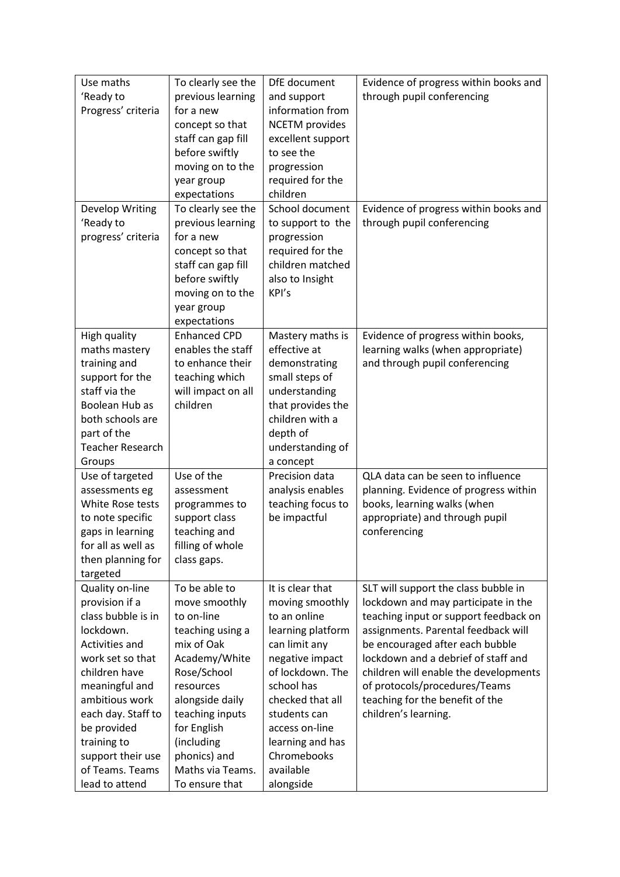| Use maths               | To clearly see the  | DfE document          | Evidence of progress within books and |
|-------------------------|---------------------|-----------------------|---------------------------------------|
| 'Ready to               | previous learning   | and support           | through pupil conferencing            |
| Progress' criteria      | for a new           | information from      |                                       |
|                         | concept so that     | <b>NCETM</b> provides |                                       |
|                         | staff can gap fill  | excellent support     |                                       |
|                         | before swiftly      | to see the            |                                       |
|                         | moving on to the    | progression           |                                       |
|                         | year group          | required for the      |                                       |
|                         | expectations        | children              |                                       |
| Develop Writing         | To clearly see the  | School document       | Evidence of progress within books and |
| 'Ready to               | previous learning   | to support to the     | through pupil conferencing            |
| progress' criteria      | for a new           | progression           |                                       |
|                         | concept so that     | required for the      |                                       |
|                         | staff can gap fill  | children matched      |                                       |
|                         | before swiftly      | also to Insight       |                                       |
|                         | moving on to the    | KPI's                 |                                       |
|                         | year group          |                       |                                       |
|                         | expectations        |                       |                                       |
| High quality            | <b>Enhanced CPD</b> | Mastery maths is      | Evidence of progress within books,    |
| maths mastery           | enables the staff   | effective at          | learning walks (when appropriate)     |
| training and            | to enhance their    | demonstrating         | and through pupil conferencing        |
| support for the         | teaching which      | small steps of        |                                       |
| staff via the           | will impact on all  | understanding         |                                       |
| Boolean Hub as          | children            | that provides the     |                                       |
| both schools are        |                     | children with a       |                                       |
| part of the             |                     | depth of              |                                       |
| <b>Teacher Research</b> |                     | understanding of      |                                       |
| Groups                  |                     | a concept             |                                       |
| Use of targeted         | Use of the          | Precision data        | QLA data can be seen to influence     |
| assessments eg          | assessment          | analysis enables      | planning. Evidence of progress within |
| White Rose tests        | programmes to       | teaching focus to     | books, learning walks (when           |
| to note specific        | support class       | be impactful          | appropriate) and through pupil        |
| gaps in learning        | teaching and        |                       | conferencing                          |
| for all as well as      | filling of whole    |                       |                                       |
| then planning for       | class gaps.         |                       |                                       |
| targeted                |                     |                       |                                       |
| Quality on-line         | To be able to       | It is clear that      | SLT will support the class bubble in  |
| provision if a          | move smoothly       | moving smoothly       | lockdown and may participate in the   |
| class bubble is in      | to on-line          | to an online          | teaching input or support feedback on |
| lockdown.               | teaching using a    | learning platform     | assignments. Parental feedback will   |
| Activities and          | mix of Oak          | can limit any         | be encouraged after each bubble       |
| work set so that        | Academy/White       | negative impact       | lockdown and a debrief of staff and   |
| children have           | Rose/School         | of lockdown. The      | children will enable the developments |
| meaningful and          | resources           | school has            | of protocols/procedures/Teams         |
| ambitious work          | alongside daily     | checked that all      | teaching for the benefit of the       |
| each day. Staff to      | teaching inputs     | students can          | children's learning.                  |
| be provided             | for English         | access on-line        |                                       |
| training to             | (including          | learning and has      |                                       |
| support their use       | phonics) and        | Chromebooks           |                                       |
| of Teams. Teams         | Maths via Teams.    | available             |                                       |
| lead to attend          | To ensure that      | alongside             |                                       |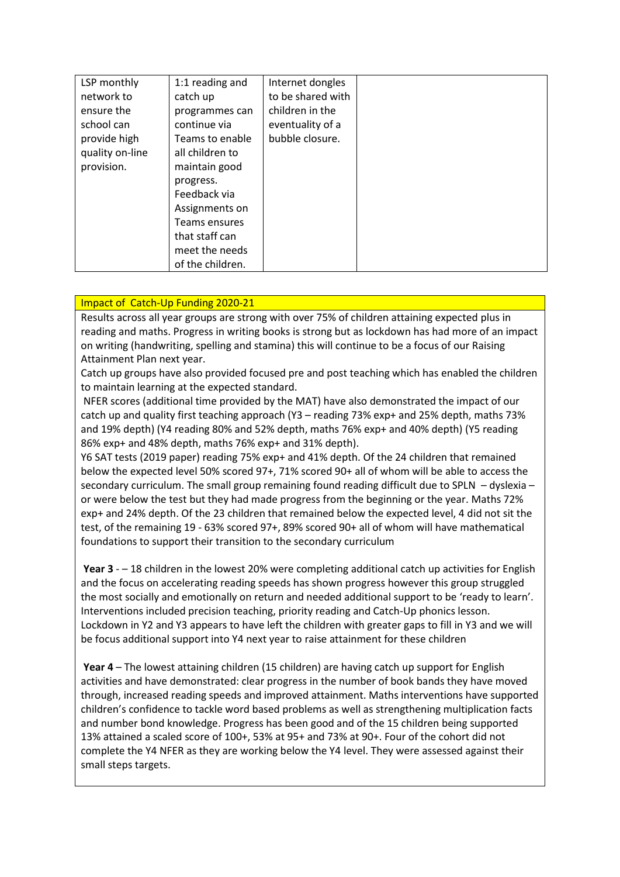| LSP monthly     | 1:1 reading and  | Internet dongles  |  |
|-----------------|------------------|-------------------|--|
| network to      | catch up         | to be shared with |  |
| ensure the      | programmes can   | children in the   |  |
| school can      | continue via     | eventuality of a  |  |
| provide high    | Teams to enable  | bubble closure.   |  |
| quality on-line | all children to  |                   |  |
| provision.      | maintain good    |                   |  |
|                 | progress.        |                   |  |
|                 | Feedback via     |                   |  |
|                 | Assignments on   |                   |  |
|                 | Teams ensures    |                   |  |
|                 | that staff can   |                   |  |
|                 | meet the needs   |                   |  |
|                 | of the children. |                   |  |

## Impact of Catch-Up Funding 2020-21

Results across all year groups are strong with over 75% of children attaining expected plus in reading and maths. Progress in writing books is strong but as lockdown has had more of an impact on writing (handwriting, spelling and stamina) this will continue to be a focus of our Raising Attainment Plan next year.

Catch up groups have also provided focused pre and post teaching which has enabled the children to maintain learning at the expected standard.

NFER scores (additional time provided by the MAT) have also demonstrated the impact of our catch up and quality first teaching approach (Y3 – reading 73% exp+ and 25% depth, maths 73% and 19% depth) (Y4 reading 80% and 52% depth, maths 76% exp+ and 40% depth) (Y5 reading 86% exp+ and 48% depth, maths 76% exp+ and 31% depth).

Y6 SAT tests (2019 paper) reading 75% exp+ and 41% depth. Of the 24 children that remained below the expected level 50% scored 97+, 71% scored 90+ all of whom will be able to access the secondary curriculum. The small group remaining found reading difficult due to SPLN – dyslexia – or were below the test but they had made progress from the beginning or the year. Maths 72% exp+ and 24% depth. Of the 23 children that remained below the expected level, 4 did not sit the test, of the remaining 19 - 63% scored 97+, 89% scored 90+ all of whom will have mathematical foundations to support their transition to the secondary curriculum

**Year 3** - – 18 children in the lowest 20% were completing additional catch up activities for English and the focus on accelerating reading speeds has shown progress however this group struggled the most socially and emotionally on return and needed additional support to be 'ready to learn'. Interventions included precision teaching, priority reading and Catch-Up phonics lesson. Lockdown in Y2 and Y3 appears to have left the children with greater gaps to fill in Y3 and we will be focus additional support into Y4 next year to raise attainment for these children

**Year 4** – The lowest attaining children (15 children) are having catch up support for English activities and have demonstrated: clear progress in the number of book bands they have moved through, increased reading speeds and improved attainment. Maths interventions have supported children's confidence to tackle word based problems as well as strengthening multiplication facts and number bond knowledge. Progress has been good and of the 15 children being supported 13% attained a scaled score of 100+, 53% at 95+ and 73% at 90+. Four of the cohort did not complete the Y4 NFER as they are working below the Y4 level. They were assessed against their small steps targets.